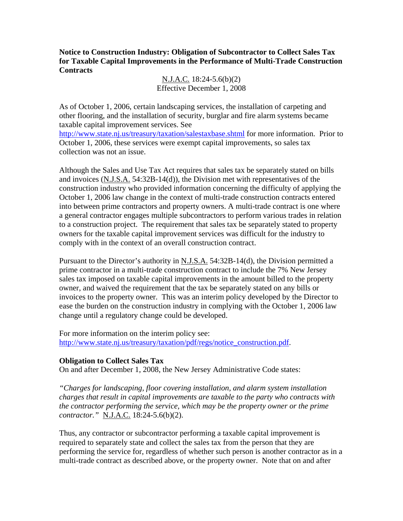**Notice to Construction Industry: Obligation of Subcontractor to Collect Sales Tax for Taxable Capital Improvements in the Performance of Multi-Trade Construction Contracts** 

> N.J.A.C. 18:24-5.6(b)(2) Effective December 1, 2008

As of October 1, 2006, certain landscaping services, the installation of carpeting and other flooring, and the installation of security, burglar and fire alarm systems became taxable capital improvement services. See http://www.state.nj.us/treasury/taxation/salestaxbase.shtml for more information. Prior to October 1, 2006, these services were exempt capital improvements, so sales tax collection was not an issue.

Although the Sales and Use Tax Act requires that sales tax be separately stated on bills and invoices (N.J.S.A. 54:32B-14(d)), the Division met with representatives of the construction industry who provided information concerning the difficulty of applying the October 1, 2006 law change in the context of multi-trade construction contracts entered into between prime contractors and property owners. A multi-trade contract is one where a general contractor engages multiple subcontractors to perform various trades in relation to a construction project. The requirement that sales tax be separately stated to property owners for the taxable capital improvement services was difficult for the industry to comply with in the context of an overall construction contract.

Pursuant to the Director's authority in  $N.J.S.A. 54:32B-14(d)$ , the Division permitted a prime contractor in a multi-trade construction contract to include the 7% New Jersey sales tax imposed on taxable capital improvements in the amount billed to the property owner, and waived the requirement that the tax be separately stated on any bills or invoices to the property owner. This was an interim policy developed by the Director to ease the burden on the construction industry in complying with the October 1, 2006 law change until a regulatory change could be developed.

For more information on the interim policy see: http://www.state.nj.us/treasury/taxation/pdf/regs/notice\_construction.pdf.

# **Obligation to Collect Sales Tax**

On and after December 1, 2008, the New Jersey Administrative Code states:

*"Charges for landscaping, floor covering installation, and alarm system installation charges that result in capital improvements are taxable to the party who contracts with the contractor performing the service, which may be the property owner or the prime contractor."* N.J.A.C. 18:24-5.6(b)(2).

Thus, any contractor or subcontractor performing a taxable capital improvement is required to separately state and collect the sales tax from the person that they are performing the service for, regardless of whether such person is another contractor as in a multi-trade contract as described above, or the property owner. Note that on and after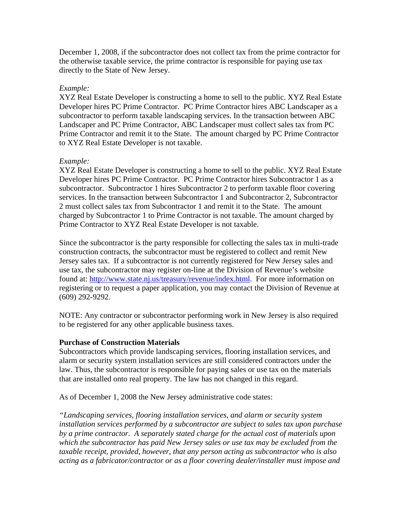December 1, 2008, if the subcontractor does not collect tax from the prime contractor for the otherwise taxable service, the prime contractor is responsible for paying use tax directly to the State of New Jersey.

## *Example:*

XYZ Real Estate Developer is constructing a home to sell to the public. XYZ Real Estate Developer hires PC Prime Contractor. PC Prime Contractor hires ABC Landscaper as a subcontractor to perform taxable landscaping services. In the transaction between ABC Landscaper and PC Prime Contractor, ABC Landscaper must collect sales tax from PC Prime Contractor and remit it to the State. The amount charged by PC Prime Contractor to XYZ Real Estate Developer is not taxable.

## *Example:*

XYZ Real Estate Developer is constructing a home to sell to the public. XYZ Real Estate Developer hires PC Prime Contractor. PC Prime Contractor hires Subcontractor 1 as a subcontractor. Subcontractor 1 hires Subcontractor 2 to perform taxable floor covering services. In the transaction between Subcontractor 1 and Subcontractor 2, Subcontractor 2 must collect sales tax from Subcontractor 1 and remit it to the State. The amount charged by Subcontractor 1 to Prime Contractor is not taxable. The amount charged by Prime Contractor to XYZ Real Estate Developer is not taxable.

Since the subcontractor is the party responsible for collecting the sales tax in multi-trade construction contracts, the subcontractor must be registered to collect and remit New Jersey sales tax. If a subcontractor is not currently registered for New Jersey sales and use tax, the subcontractor may register on-line at the Division of Revenue's website found at: http://www.state.nj.us/treasury/revenue/index.html. For more information on registering or to request a paper application, you may contact the Division of Revenue at (609) 292-9292.

NOTE: Any contractor or subcontractor performing work in New Jersey is also required to be registered for any other applicable business taxes.

#### **Purchase of Construction Materials**

Subcontractors which provide landscaping services, flooring installation services, and alarm or security system installation services are still considered contractors under the law. Thus, the subcontractor is responsible for paying sales or use tax on the materials that are installed onto real property. The law has not changed in this regard.

As of December 1, 2008 the New Jersey administrative code states:

*"Landscaping services, flooring installation services, and alarm or security system installation services performed by a subcontractor are subject to sales tax upon purchase by a prime contractor. A separately stated charge for the actual cost of materials upon which the subcontractor has paid New Jersey sales or use tax may be excluded from the taxable receipt, provided, however, that any person acting as subcontractor who is also acting as a fabricator/contractor or as a floor covering dealer/installer must impose and*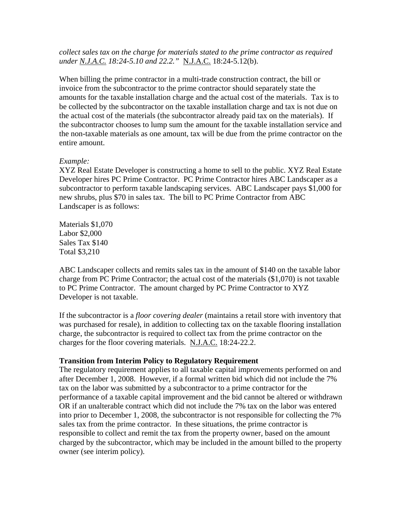*collect sales tax on the charge for materials stated to the prime contractor as required under N.J.A.C. 18:24-5.10 and 22.2."* N.J.A.C. 18:24-5.12(b).

When billing the prime contractor in a multi-trade construction contract, the bill or invoice from the subcontractor to the prime contractor should separately state the amounts for the taxable installation charge and the actual cost of the materials. Tax is to be collected by the subcontractor on the taxable installation charge and tax is not due on the actual cost of the materials (the subcontractor already paid tax on the materials). If the subcontractor chooses to lump sum the amount for the taxable installation service and the non-taxable materials as one amount, tax will be due from the prime contractor on the entire amount.

## *Example:*

XYZ Real Estate Developer is constructing a home to sell to the public. XYZ Real Estate Developer hires PC Prime Contractor. PC Prime Contractor hires ABC Landscaper as a subcontractor to perform taxable landscaping services. ABC Landscaper pays \$1,000 for new shrubs, plus \$70 in sales tax. The bill to PC Prime Contractor from ABC Landscaper is as follows:

Materials \$1,070 Labor \$2,000 Sales Tax \$140 Total \$3,210

ABC Landscaper collects and remits sales tax in the amount of \$140 on the taxable labor charge from PC Prime Contractor; the actual cost of the materials (\$1,070) is not taxable to PC Prime Contractor. The amount charged by PC Prime Contractor to XYZ Developer is not taxable.

If the subcontractor is a *floor covering dealer* (maintains a retail store with inventory that was purchased for resale), in addition to collecting tax on the taxable flooring installation charge, the subcontractor is required to collect tax from the prime contractor on the charges for the floor covering materials. N.J.A.C. 18:24-22.2.

# **Transition from Interim Policy to Regulatory Requirement**

The regulatory requirement applies to all taxable capital improvements performed on and after December 1, 2008. However, if a formal written bid which did not include the 7% tax on the labor was submitted by a subcontractor to a prime contractor for the performance of a taxable capital improvement and the bid cannot be altered or withdrawn OR if an unalterable contract which did not include the 7% tax on the labor was entered into prior to December 1, 2008, the subcontractor is not responsible for collecting the 7% sales tax from the prime contractor. In these situations, the prime contractor is responsible to collect and remit the tax from the property owner, based on the amount charged by the subcontractor, which may be included in the amount billed to the property owner (see interim policy).